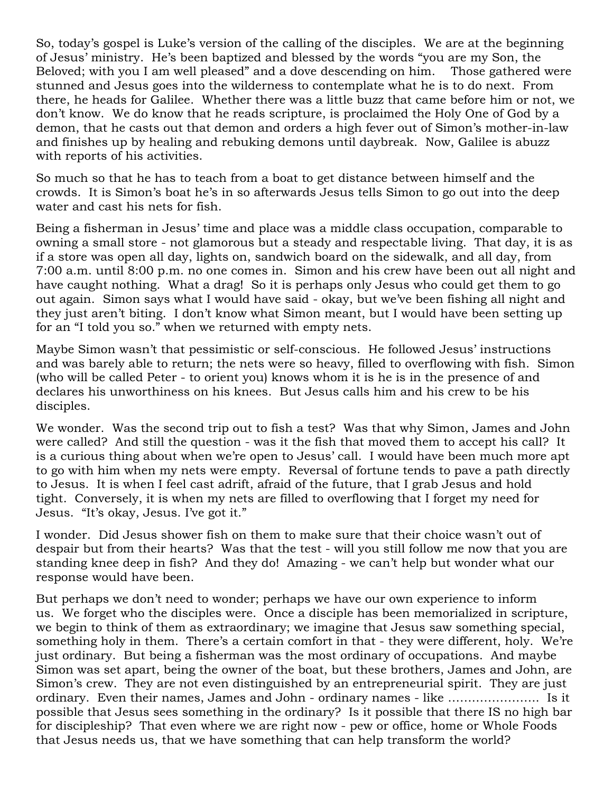So, today's gospel is Luke's version of the calling of the disciples. We are at the beginning of Jesus' ministry. He's been baptized and blessed by the words "you are my Son, the Beloved; with you I am well pleased" and a dove descending on him. Those gathered were stunned and Jesus goes into the wilderness to contemplate what he is to do next. From there, he heads for Galilee. Whether there was a little buzz that came before him or not, we don't know. We do know that he reads scripture, is proclaimed the Holy One of God by a demon, that he casts out that demon and orders a high fever out of Simon's mother-in-law and finishes up by healing and rebuking demons until daybreak. Now, Galilee is abuzz with reports of his activities.

So much so that he has to teach from a boat to get distance between himself and the crowds. It is Simon's boat he's in so afterwards Jesus tells Simon to go out into the deep water and cast his nets for fish.

Being a fisherman in Jesus' time and place was a middle class occupation, comparable to owning a small store - not glamorous but a steady and respectable living. That day, it is as if a store was open all day, lights on, sandwich board on the sidewalk, and all day, from 7:00 a.m. until 8:00 p.m. no one comes in. Simon and his crew have been out all night and have caught nothing. What a drag! So it is perhaps only Jesus who could get them to go out again. Simon says what I would have said - okay, but we've been fishing all night and they just aren't biting. I don't know what Simon meant, but I would have been setting up for an "I told you so." when we returned with empty nets.

Maybe Simon wasn't that pessimistic or self-conscious. He followed Jesus' instructions and was barely able to return; the nets were so heavy, filled to overflowing with fish. Simon (who will be called Peter - to orient you) knows whom it is he is in the presence of and declares his unworthiness on his knees. But Jesus calls him and his crew to be his disciples.

We wonder. Was the second trip out to fish a test? Was that why Simon, James and John were called? And still the question - was it the fish that moved them to accept his call? It is a curious thing about when we're open to Jesus' call. I would have been much more apt to go with him when my nets were empty. Reversal of fortune tends to pave a path directly to Jesus. It is when I feel cast adrift, afraid of the future, that I grab Jesus and hold tight. Conversely, it is when my nets are filled to overflowing that I forget my need for Jesus. "It's okay, Jesus. I've got it."

I wonder. Did Jesus shower fish on them to make sure that their choice wasn't out of despair but from their hearts? Was that the test - will you still follow me now that you are standing knee deep in fish? And they do! Amazing - we can't help but wonder what our response would have been.

But perhaps we don't need to wonder; perhaps we have our own experience to inform us. We forget who the disciples were. Once a disciple has been memorialized in scripture, we begin to think of them as extraordinary; we imagine that Jesus saw something special, something holy in them. There's a certain comfort in that - they were different, holy. We're just ordinary. But being a fisherman was the most ordinary of occupations. And maybe Simon was set apart, being the owner of the boat, but these brothers, James and John, are Simon's crew. They are not even distinguished by an entrepreneurial spirit. They are just ordinary. Even their names, James and John - ordinary names - like ………………….. Is it possible that Jesus sees something in the ordinary? Is it possible that there IS no high bar for discipleship? That even where we are right now - pew or office, home or Whole Foods that Jesus needs us, that we have something that can help transform the world?